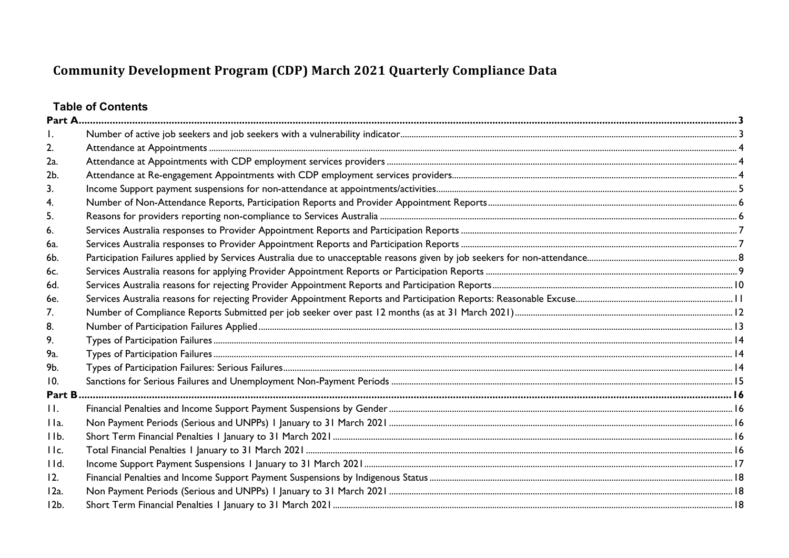# **Table of Contents**

| 2.             |  |
|----------------|--|
| 2a.            |  |
| 2b.            |  |
| 3.             |  |
| 4.             |  |
| 5.             |  |
| 6.             |  |
| 6a.            |  |
| 6b.            |  |
| 6c.            |  |
| 6d.            |  |
| 6e.            |  |
| 7 <sub>1</sub> |  |
| 8.             |  |
| 9.             |  |
| 9а.            |  |
| 9b.            |  |
| 10.            |  |
| Part B         |  |
| П.             |  |
| IIa.           |  |
| IIb.           |  |
| IIc.           |  |
| IId.           |  |
| 12.            |  |
| 12a.           |  |
| $12b$ .        |  |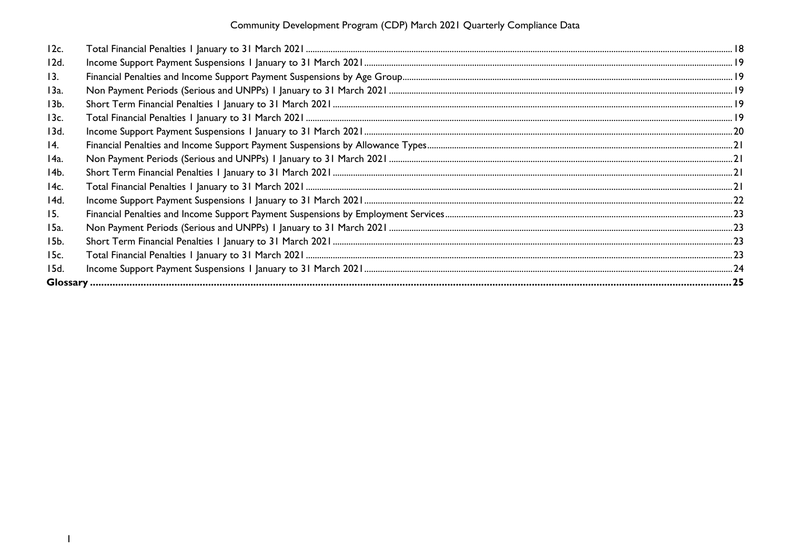| 12c.       |  |
|------------|--|
| 12d.       |  |
| 13.        |  |
| 13a.       |  |
| 13b.       |  |
| 13c.       |  |
| 13d.       |  |
| <u>14.</u> |  |
| 14a.       |  |
| 14b.       |  |
| 14c.       |  |
| 14d.       |  |
| 15.        |  |
| 15a.       |  |
| 15b.       |  |
| 15c.       |  |
| 15d.       |  |
|            |  |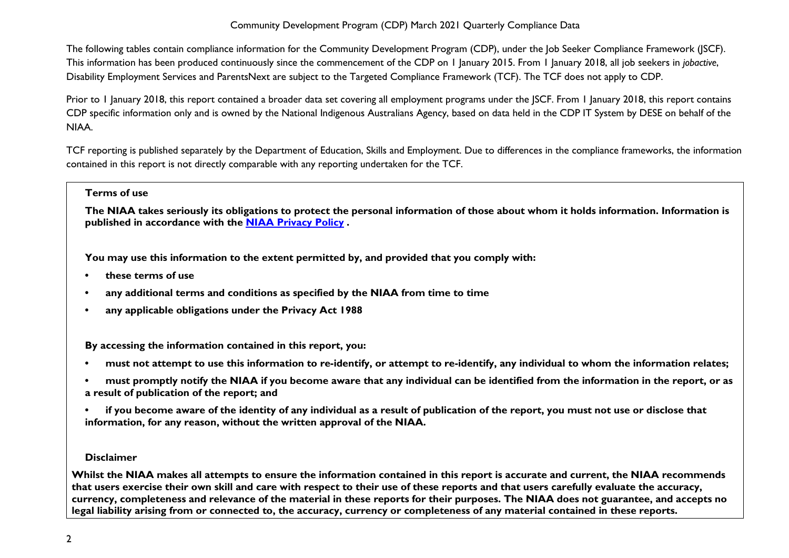The following tables contain compliance information for the Community Development Program (CDP), under the Job Seeker Compliance Framework (JSCF). This information has been produced continuously since the commencement of the CDP on 1 January 2015. From 1 January 2018, all job seekers in *jobactive*, Disability Employment Services and ParentsNext are subject to the Targeted Compliance Framework (TCF). The TCF does not apply to CDP.

Prior to 1 January 2018, this report contained a broader data set covering all employment programs under the JSCF. From 1 January 2018, this report contains CDP specific information only and is owned by the National Indigenous Australians Agency, based on data held in the CDP IT System by DESE on behalf of the NIAA.

TCF reporting is published separately by the Department of Education, Skills and Employment. Due to differences in the compliance frameworks, the information contained in this report is not directly comparable with any reporting undertaken for the TCF.

#### **Terms of use**

**The NIAA takes seriously its obligations to protect the personal information of those about whom it holds information. Information is published in accordance with the [NIAA Privacy Policy](https://www.niaa.gov.au/pmc/who-we-are/accountability-and-reporting/privacy-policy) .** 

**You may use this information to the extent permitted by, and provided that you comply with:**

- **• these terms of use**
- **• any additional terms and conditions as specified by the NIAA from time to time**
- **• any applicable obligations under the Privacy Act 1988**

**By accessing the information contained in this report, you:** 

- **• must not attempt to use this information to re-identify, or attempt to re-identify, any individual to whom the information relates;**
- **• must promptly notify the NIAA if you become aware that any individual can be identified from the information in the report, or as a result of publication of the report; and**
- **• if you become aware of the identity of any individual as a result of publication of the report, you must not use or disclose that information, for any reason, without the written approval of the NIAA.**

#### **Disclaimer**

**Whilst the NIAA makes all attempts to ensure the information contained in this report is accurate and current, the NIAA recommends that users exercise their own skill and care with respect to their use of these reports and that users carefully evaluate the accuracy, currency, completeness and relevance of the material in these reports for their purposes. The NIAA does not guarantee, and accepts no legal liability arising from or connected to, the accuracy, currency or completeness of any material contained in these reports.**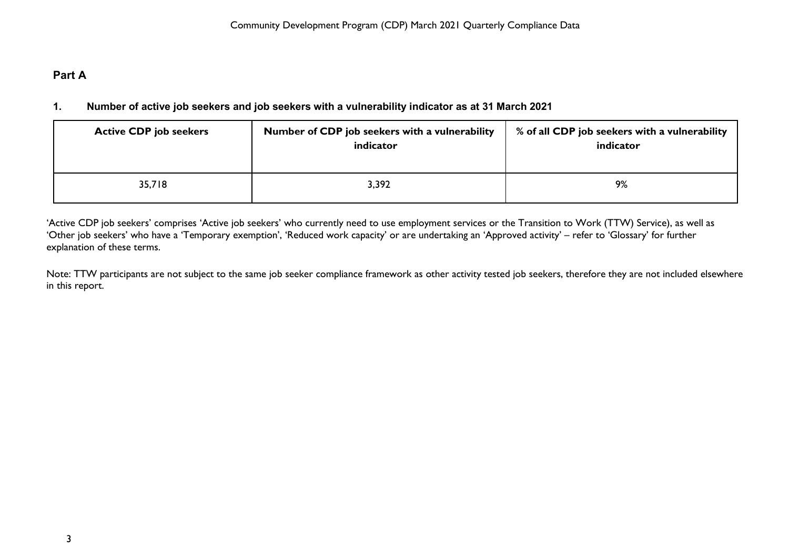# <span id="page-3-1"></span><span id="page-3-0"></span>**Part A**

# **1. Number of active job seekers and job seekers with a vulnerability indicator as at 31 March 2021**

| <b>Active CDP job seekers</b> | Number of CDP job seekers with a vulnerability<br>indicator | % of all CDP job seekers with a vulnerability<br>indicator |
|-------------------------------|-------------------------------------------------------------|------------------------------------------------------------|
| 35,718                        | 3,392                                                       | 9%                                                         |

'Active CDP job seekers' comprises 'Active job seekers' who currently need to use employment services or the Transition to Work (TTW) Service), as well as 'Other job seekers' who have a 'Temporary exemption', 'Reduced work capacity' or are undertaking an 'Approved activity' – refer to 'Glossary' for further explanation of these terms.

Note: TTW participants are not subject to the same job seeker compliance framework as other activity tested job seekers, therefore they are not included elsewhere in this report.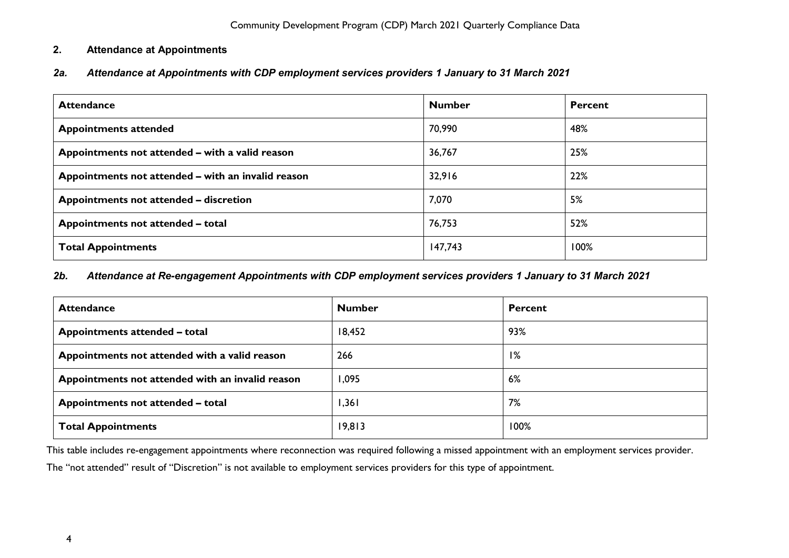## <span id="page-4-0"></span>**2. Attendance at Appointments**

<span id="page-4-1"></span>*2a. Attendance at Appointments with CDP employment services providers 1 January to 31 March 2021*

| <b>Attendance</b>                                  | <b>Number</b> | <b>Percent</b> |
|----------------------------------------------------|---------------|----------------|
| <b>Appointments attended</b>                       | 70,990        | 48%            |
| Appointments not attended - with a valid reason    | 36,767        | 25%            |
| Appointments not attended - with an invalid reason | 32,916        | 22%            |
| Appointments not attended - discretion             | 7,070         | 5%             |
| Appointments not attended - total                  | 76,753        | 52%            |
| <b>Total Appointments</b>                          | 147,743       | 100%           |

#### <span id="page-4-2"></span>*2b. Attendance at Re-engagement Appointments with CDP employment services providers 1 January to 31 March 2021*

| <b>Attendance</b>                                | <b>Number</b> | <b>Percent</b> |
|--------------------------------------------------|---------------|----------------|
| Appointments attended - total                    | 18,452        | 93%            |
| Appointments not attended with a valid reason    | 266           | 1%             |
| Appointments not attended with an invalid reason | 1,095         | 6%             |
| Appointments not attended - total                | 1,361         | 7%             |
| <b>Total Appointments</b>                        | 19,813        | 100%           |

This table includes re-engagement appointments where reconnection was required following a missed appointment with an employment services provider.

The "not attended" result of "Discretion" is not available to employment services providers for this type of appointment.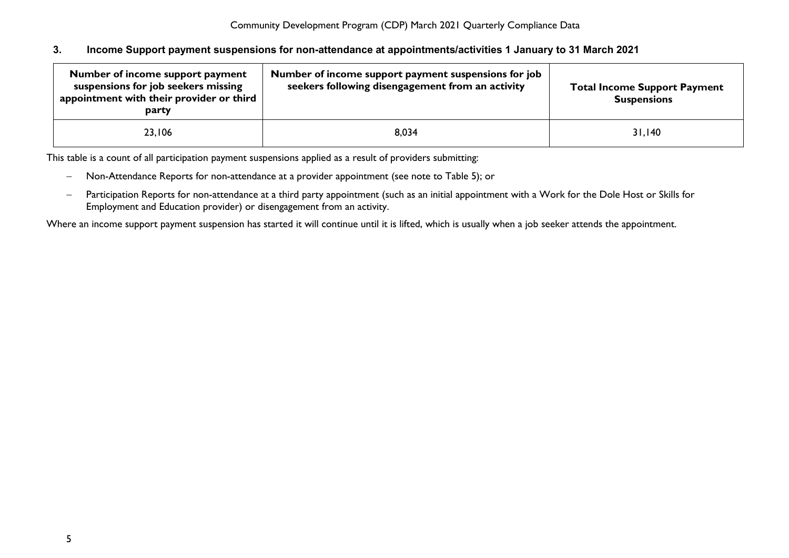#### <span id="page-5-0"></span>**3. Income Support payment suspensions for non-attendance at appointments/activities 1 January to 31 March 2021**

| Number of income support payment<br>suspensions for job seekers missing<br>appointment with their provider or third<br>party | Number of income support payment suspensions for job<br>seekers following disengagement from an activity | <b>Total Income Support Payment</b><br><b>Suspensions</b> |
|------------------------------------------------------------------------------------------------------------------------------|----------------------------------------------------------------------------------------------------------|-----------------------------------------------------------|
| 23,106                                                                                                                       | 8,034                                                                                                    | 31,140                                                    |

This table is a count of all participation payment suspensions applied as a result of providers submitting:

- − Non-Attendance Reports for non-attendance at a provider appointment (see note to Table 5); or
- − Participation Reports for non-attendance at a third party appointment (such as an initial appointment with a Work for the Dole Host or Skills for Employment and Education provider) or disengagement from an activity.

Where an income support payment suspension has started it will continue until it is lifted, which is usually when a job seeker attends the appointment.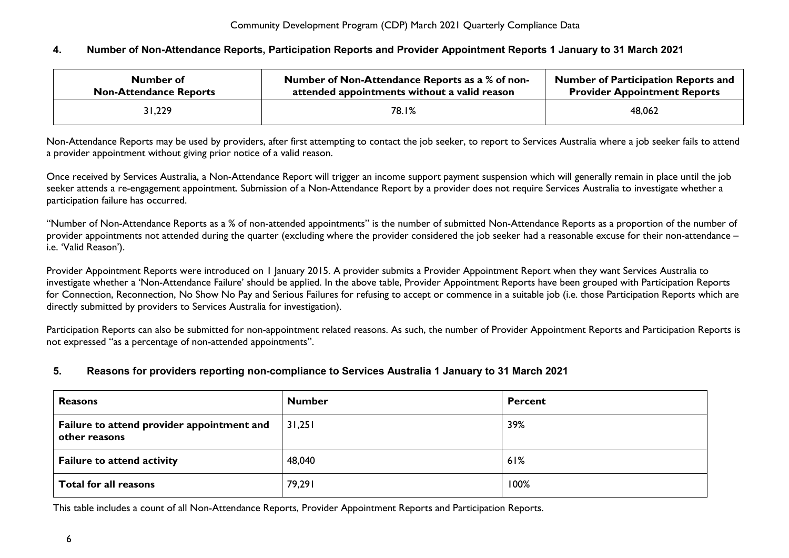#### <span id="page-6-0"></span>**4. Number of Non-Attendance Reports, Participation Reports and Provider Appointment Reports 1 January to 31 March 2021**

| Number of                     | Number of Non-Attendance Reports as a % of non- | <b>Number of Participation Reports and</b> |
|-------------------------------|-------------------------------------------------|--------------------------------------------|
| <b>Non-Attendance Reports</b> | attended appointments without a valid reason    | <b>Provider Appointment Reports</b>        |
| 31,229                        | 78.1%                                           | 48,062                                     |

Non-Attendance Reports may be used by providers, after first attempting to contact the job seeker, to report to Services Australia where a job seeker fails to attend a provider appointment without giving prior notice of a valid reason.

Once received by Services Australia, a Non-Attendance Report will trigger an income support payment suspension which will generally remain in place until the job seeker attends a re-engagement appointment. Submission of a Non-Attendance Report by a provider does not require Services Australia to investigate whether a participation failure has occurred.

"Number of Non-Attendance Reports as a % of non-attended appointments" is the number of submitted Non-Attendance Reports as a proportion of the number of provider appointments not attended during the quarter (excluding where the provider considered the job seeker had a reasonable excuse for their non-attendance – i.e. 'Valid Reason').

Provider Appointment Reports were introduced on 1 January 2015. A provider submits a Provider Appointment Report when they want Services Australia to investigate whether a 'Non-Attendance Failure' should be applied. In the above table, Provider Appointment Reports have been grouped with Participation Reports for Connection, Reconnection, No Show No Pay and Serious Failures for refusing to accept or commence in a suitable job (i.e. those Participation Reports which are directly submitted by providers to Services Australia for investigation).

Participation Reports can also be submitted for non-appointment related reasons. As such, the number of Provider Appointment Reports and Participation Reports is not expressed "as a percentage of non-attended appointments".

#### <span id="page-6-1"></span>**5. Reasons for providers reporting non-compliance to Services Australia 1 January to 31 March 2021**

| <b>Reasons</b>                                              | <b>Number</b> | <b>Percent</b> |
|-------------------------------------------------------------|---------------|----------------|
| Failure to attend provider appointment and<br>other reasons | 31,251        | 39%            |
| <b>Failure to attend activity</b>                           | 48,040        | 61%            |
| <b>Total for all reasons</b>                                | 79,291        | 100%           |

This table includes a count of all Non-Attendance Reports, Provider Appointment Reports and Participation Reports.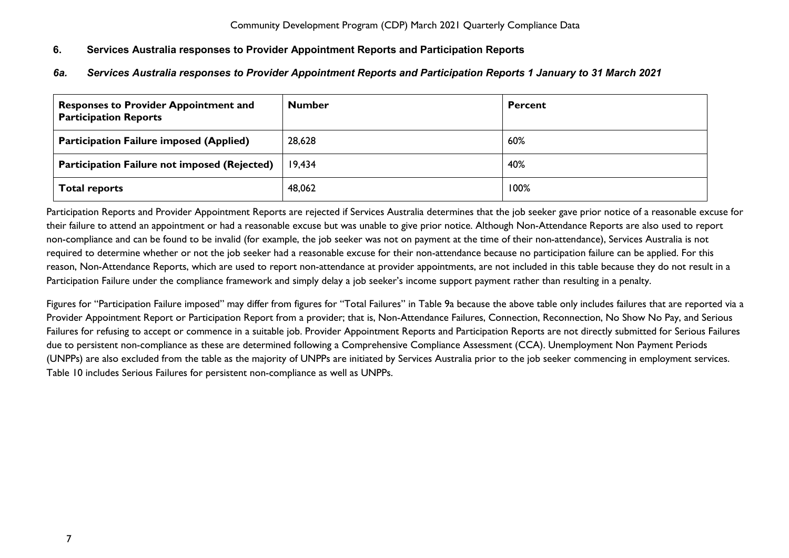## <span id="page-7-0"></span>**6. Services Australia responses to Provider Appointment Reports and Participation Reports**

## <span id="page-7-1"></span>*6a. Services Australia responses to Provider Appointment Reports and Participation Reports 1 January to 31 March 2021*

| <b>Responses to Provider Appointment and</b><br><b>Participation Reports</b> | <b>Number</b> | <b>Percent</b> |
|------------------------------------------------------------------------------|---------------|----------------|
| <b>Participation Failure imposed (Applied)</b>                               | 28,628        | $60\%$         |
| <b>Participation Failure not imposed (Rejected)</b>                          | 19,434        | 40%            |
| <b>Total reports</b>                                                         | 48,062        | 100%           |

Participation Reports and Provider Appointment Reports are rejected if Services Australia determines that the job seeker gave prior notice of a reasonable excuse for their failure to attend an appointment or had a reasonable excuse but was unable to give prior notice. Although Non-Attendance Reports are also used to report non-compliance and can be found to be invalid (for example, the job seeker was not on payment at the time of their non-attendance), Services Australia is not required to determine whether or not the job seeker had a reasonable excuse for their non-attendance because no participation failure can be applied. For this reason, Non-Attendance Reports, which are used to report non-attendance at provider appointments, are not included in this table because they do not result in a Participation Failure under the compliance framework and simply delay a job seeker's income support payment rather than resulting in a penalty.

Figures for "Participation Failure imposed" may differ from figures for "Total Failures" in Table 9a because the above table only includes failures that are reported via a Provider Appointment Report or Participation Report from a provider; that is, Non-Attendance Failures, Connection, Reconnection, No Show No Pay, and Serious Failures for refusing to accept or commence in a suitable job. Provider Appointment Reports and Participation Reports are not directly submitted for Serious Failures due to persistent non-compliance as these are determined following a Comprehensive Compliance Assessment (CCA). Unemployment Non Payment Periods (UNPPs) are also excluded from the table as the majority of UNPPs are initiated by Services Australia prior to the job seeker commencing in employment services. Table 10 includes Serious Failures for persistent non-compliance as well as UNPPs.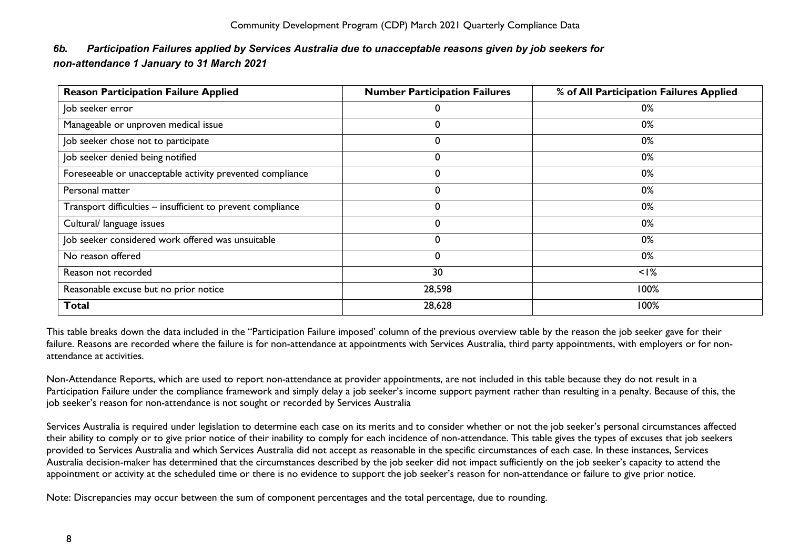# <span id="page-8-0"></span>*6b. Participation Failures applied by Services Australia due to unacceptable reasons given by job seekers for non-attendance 1 January to 31 March 2021*

| <b>Reason Participation Failure Applied</b>                 | <b>Number Participation Failures</b> | % of All Participation Failures Applied |
|-------------------------------------------------------------|--------------------------------------|-----------------------------------------|
| Job seeker error                                            |                                      | 0%                                      |
| Manageable or unproven medical issue                        |                                      | 0%                                      |
| Job seeker chose not to participate                         | 0                                    | 0%                                      |
| Job seeker denied being notified                            |                                      | 0%                                      |
| Foreseeable or unacceptable activity prevented compliance   | 0                                    | 0%                                      |
| Personal matter                                             | 0                                    | 0%                                      |
| Transport difficulties - insufficient to prevent compliance | 0                                    | 0%                                      |
| Cultural/ language issues                                   | $\Omega$                             | 0%                                      |
| Job seeker considered work offered was unsuitable           | $\Omega$                             | 0%                                      |
| No reason offered                                           | 0                                    | 0%                                      |
| Reason not recorded                                         | 30                                   | $<$ $\frac{1}{6}$                       |
| Reasonable excuse but no prior notice                       | 28,598                               | 100%                                    |
| <b>Total</b>                                                | 28,628                               | 100%                                    |

This table breaks down the data included in the "Participation Failure imposed' column of the previous overview table by the reason the job seeker gave for their failure. Reasons are recorded where the failure is for non-attendance at appointments with Services Australia, third party appointments, with employers or for nonattendance at activities.

Non-Attendance Reports, which are used to report non-attendance at provider appointments, are not included in this table because they do not result in a Participation Failure under the compliance framework and simply delay a job seeker's income support payment rather than resulting in a penalty. Because of this, the job seeker's reason for non-attendance is not sought or recorded by Services Australia

Services Australia is required under legislation to determine each case on its merits and to consider whether or not the job seeker's personal circumstances affected their ability to comply or to give prior notice of their inability to comply for each incidence of non-attendance. This table gives the types of excuses that job seekers provided to Services Australia and which Services Australia did not accept as reasonable in the specific circumstances of each case. In these instances, Services Australia decision-maker has determined that the circumstances described by the job seeker did not impact sufficiently on the job seeker's capacity to attend the appointment or activity at the scheduled time or there is no evidence to support the job seeker's reason for non-attendance or failure to give prior notice.

Note: Discrepancies may occur between the sum of component percentages and the total percentage, due to rounding.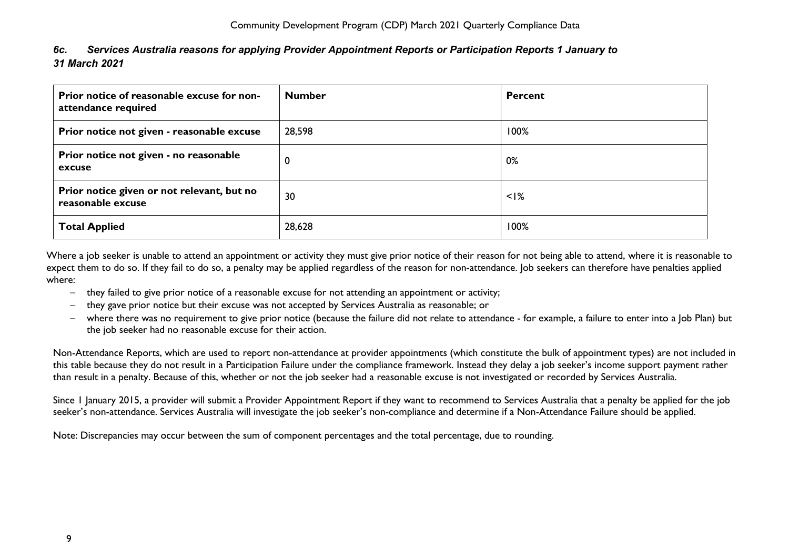<span id="page-9-0"></span>

| 6c. | Services Australia reasons for applying Provider Appointment Reports or Participation Reports 1 January to |
|-----|------------------------------------------------------------------------------------------------------------|
|     | 31 March 2021                                                                                              |

| Prior notice of reasonable excuse for non-<br>attendance required | <b>Number</b> | <b>Percent</b> |
|-------------------------------------------------------------------|---------------|----------------|
| Prior notice not given - reasonable excuse                        | 28,598        | 100%           |
| Prior notice not given - no reasonable<br>excuse                  | $\mathbf 0$   | 0%             |
| Prior notice given or not relevant, but no<br>reasonable excuse   | 30            | $<$ $1\%$      |
| <b>Total Applied</b>                                              | 28,628        | 100%           |

Where a job seeker is unable to attend an appointment or activity they must give prior notice of their reason for not being able to attend, where it is reasonable to expect them to do so. If they fail to do so, a penalty may be applied regardless of the reason for non-attendance. Job seekers can therefore have penalties applied where:

- − they failed to give prior notice of a reasonable excuse for not attending an appointment or activity;
- − they gave prior notice but their excuse was not accepted by Services Australia as reasonable; or
- − where there was no requirement to give prior notice (because the failure did not relate to attendance for example, a failure to enter into a Job Plan) but the job seeker had no reasonable excuse for their action.

Non-Attendance Reports, which are used to report non-attendance at provider appointments (which constitute the bulk of appointment types) are not included in this table because they do not result in a Participation Failure under the compliance framework. Instead they delay a job seeker's income support payment rather than result in a penalty. Because of this, whether or not the job seeker had a reasonable excuse is not investigated or recorded by Services Australia.

Since 1 January 2015, a provider will submit a Provider Appointment Report if they want to recommend to Services Australia that a penalty be applied for the job seeker's non-attendance. Services Australia will investigate the job seeker's non-compliance and determine if a Non-Attendance Failure should be applied.

Note: Discrepancies may occur between the sum of component percentages and the total percentage, due to rounding.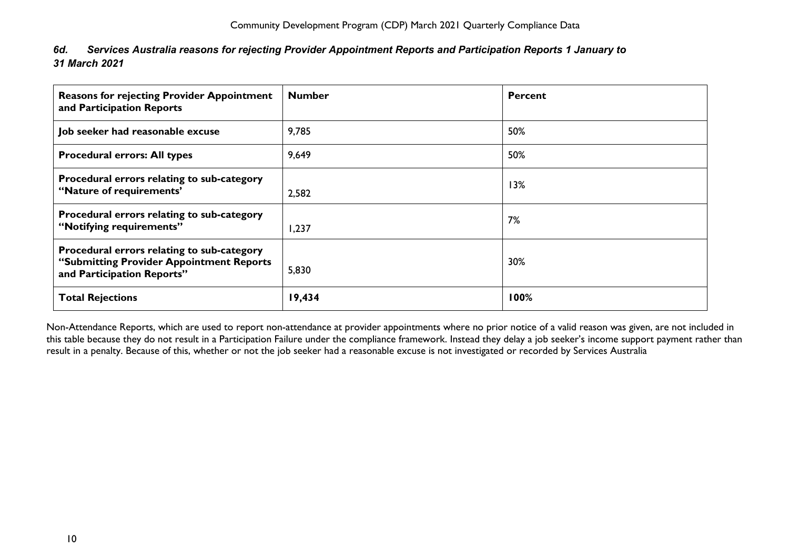<span id="page-10-0"></span>

| 6d. Services Australia reasons for rejecting Provider Appointment Reports and Participation Reports 1 January to |
|------------------------------------------------------------------------------------------------------------------|
| 31 March 2021                                                                                                    |

| <b>Reasons for rejecting Provider Appointment</b><br>and Participation Reports                                       | <b>Number</b> | <b>Percent</b> |
|----------------------------------------------------------------------------------------------------------------------|---------------|----------------|
| Job seeker had reasonable excuse                                                                                     | 9,785         | 50%            |
| <b>Procedural errors: All types</b>                                                                                  | 9,649         | 50%            |
| Procedural errors relating to sub-category<br>"Nature of requirements"                                               | 2,582         | 13%            |
| Procedural errors relating to sub-category<br>"Notifying requirements"                                               | 1,237         | 7%             |
| Procedural errors relating to sub-category<br>"Submitting Provider Appointment Reports<br>and Participation Reports" | 5,830         | 30%            |
| <b>Total Rejections</b>                                                                                              | 19,434        | 100%           |

Non-Attendance Reports, which are used to report non-attendance at provider appointments where no prior notice of a valid reason was given, are not included in this table because they do not result in a Participation Failure under the compliance framework. Instead they delay a job seeker's income support payment rather than result in a penalty. Because of this, whether or not the job seeker had a reasonable excuse is not investigated or recorded by Services Australia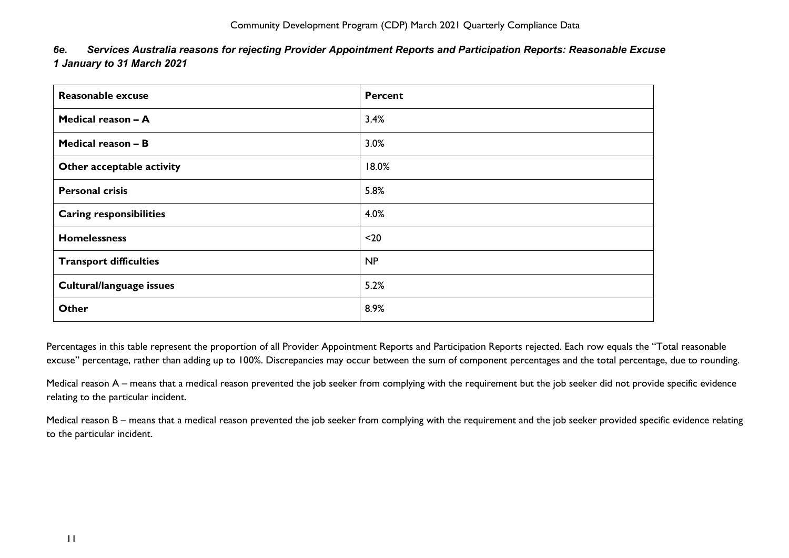<span id="page-11-0"></span>

| 6e. Services Australia reasons for rejecting Provider Appointment Reports and Participation Reports: Reasonable Excuse |
|------------------------------------------------------------------------------------------------------------------------|
| 1 January to 31 March 2021                                                                                             |

| Reasonable excuse              | <b>Percent</b> |
|--------------------------------|----------------|
| Medical reason - A             | 3.4%           |
| Medical reason - B             | 3.0%           |
| Other acceptable activity      | 18.0%          |
| <b>Personal crisis</b>         | 5.8%           |
| <b>Caring responsibilities</b> | 4.0%           |
| <b>Homelessness</b>            | $20$           |
| <b>Transport difficulties</b>  | NP             |
| Cultural/language issues       | 5.2%           |
| Other                          | 8.9%           |

Percentages in this table represent the proportion of all Provider Appointment Reports and Participation Reports rejected. Each row equals the "Total reasonable excuse" percentage, rather than adding up to 100%. Discrepancies may occur between the sum of component percentages and the total percentage, due to rounding.

Medical reason A – means that a medical reason prevented the job seeker from complying with the requirement but the job seeker did not provide specific evidence relating to the particular incident.

Medical reason B – means that a medical reason prevented the job seeker from complying with the requirement and the job seeker provided specific evidence relating to the particular incident.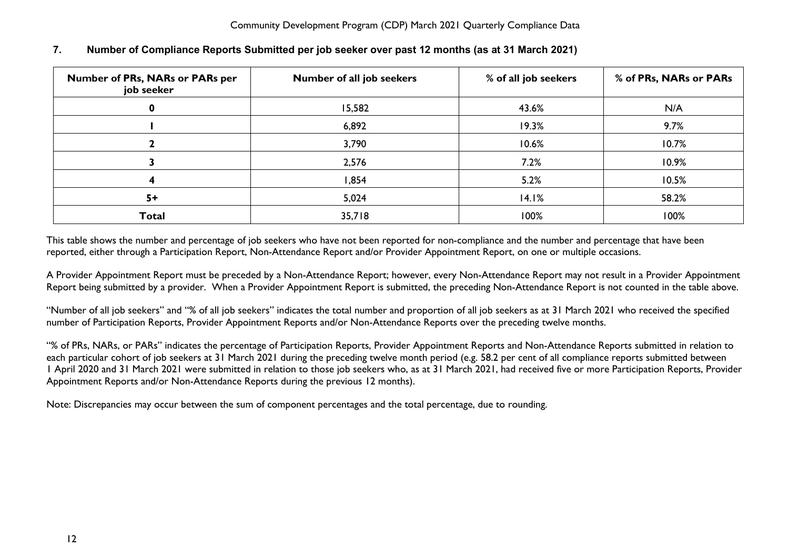| <b>Number of PRs, NARs or PARs per</b><br>job seeker | Number of all job seekers | % of all job seekers | % of PRs, NARs or PARs |
|------------------------------------------------------|---------------------------|----------------------|------------------------|
| 0                                                    | 15,582                    | 43.6%                | N/A                    |
|                                                      | 6,892                     | 19.3%                | 9.7%                   |
|                                                      | 3,790                     | 10.6%                | 10.7%                  |
|                                                      | 2,576                     | 7.2%                 | 10.9%                  |
|                                                      | 1,854                     | 5.2%                 | 10.5%                  |
| $5+$                                                 | 5,024                     | 14.1%                | 58.2%                  |
| <b>Total</b>                                         | 35,718                    | 100%                 | 100%                   |

## <span id="page-12-0"></span>**7. Number of Compliance Reports Submitted per job seeker over past 12 months (as at 31 March 2021)**

This table shows the number and percentage of job seekers who have not been reported for non-compliance and the number and percentage that have been reported, either through a Participation Report, Non-Attendance Report and/or Provider Appointment Report, on one or multiple occasions.

A Provider Appointment Report must be preceded by a Non-Attendance Report; however, every Non-Attendance Report may not result in a Provider Appointment Report being submitted by a provider. When a Provider Appointment Report is submitted, the preceding Non-Attendance Report is not counted in the table above.

"Number of all job seekers" and "% of all job seekers" indicates the total number and proportion of all job seekers as at 31 March 2021 who received the specified number of Participation Reports, Provider Appointment Reports and/or Non-Attendance Reports over the preceding twelve months.

"% of PRs, NARs, or PARs" indicates the percentage of Participation Reports, Provider Appointment Reports and Non-Attendance Reports submitted in relation to each particular cohort of job seekers at 31 March 2021 during the preceding twelve month period (e.g. 58.2 per cent of all compliance reports submitted between 1 April 2020 and 31 March 2021 were submitted in relation to those job seekers who, as at 31 March 2021, had received five or more Participation Reports, Provider Appointment Reports and/or Non-Attendance Reports during the previous 12 months).

Note: Discrepancies may occur between the sum of component percentages and the total percentage, due to rounding.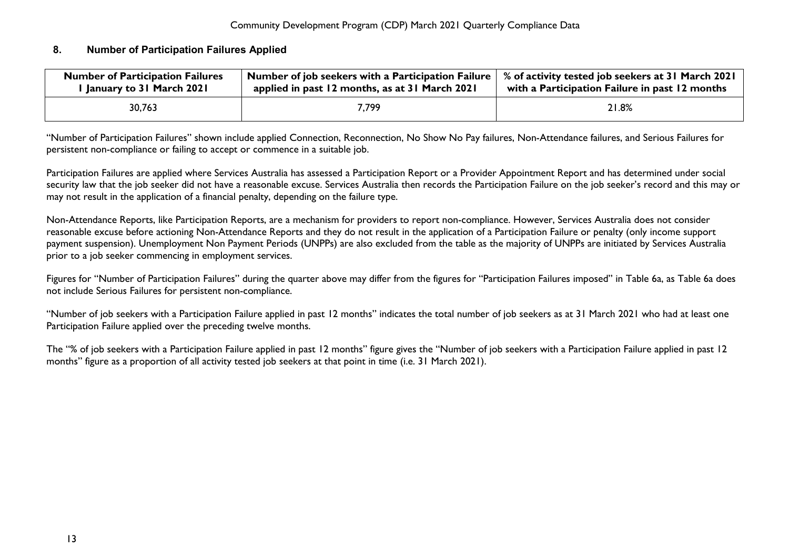#### <span id="page-13-0"></span>**8. Number of Participation Failures Applied**

| <b>Number of Participation Failures</b> | Number of job seekers with a Participation Failure | % of activity tested job seekers at 31 March 2021 |
|-----------------------------------------|----------------------------------------------------|---------------------------------------------------|
| l January to 31 March 2021              | applied in past 12 months, as at 31 March 2021     | with a Participation Failure in past 12 months    |
| 30,763                                  | 7,799                                              | 21.8%                                             |

"Number of Participation Failures" shown include applied Connection, Reconnection, No Show No Pay failures, Non-Attendance failures, and Serious Failures for persistent non-compliance or failing to accept or commence in a suitable job.

Participation Failures are applied where Services Australia has assessed a Participation Report or a Provider Appointment Report and has determined under social security law that the job seeker did not have a reasonable excuse. Services Australia then records the Participation Failure on the job seeker's record and this may or may not result in the application of a financial penalty, depending on the failure type.

Non-Attendance Reports, like Participation Reports, are a mechanism for providers to report non-compliance. However, Services Australia does not consider reasonable excuse before actioning Non-Attendance Reports and they do not result in the application of a Participation Failure or penalty (only income support payment suspension). Unemployment Non Payment Periods (UNPPs) are also excluded from the table as the majority of UNPPs are initiated by Services Australia prior to a job seeker commencing in employment services.

Figures for "Number of Participation Failures" during the quarter above may differ from the figures for "Participation Failures imposed" in Table 6a, as Table 6a does not include Serious Failures for persistent non-compliance.

"Number of job seekers with a Participation Failure applied in past 12 months" indicates the total number of job seekers as at 31 March 2021 who had at least one Participation Failure applied over the preceding twelve months.

The "% of job seekers with a Participation Failure applied in past 12 months" figure gives the "Number of job seekers with a Participation Failure applied in past 12 months" figure as a proportion of all activity tested job seekers at that point in time (i.e. 31 March 2021).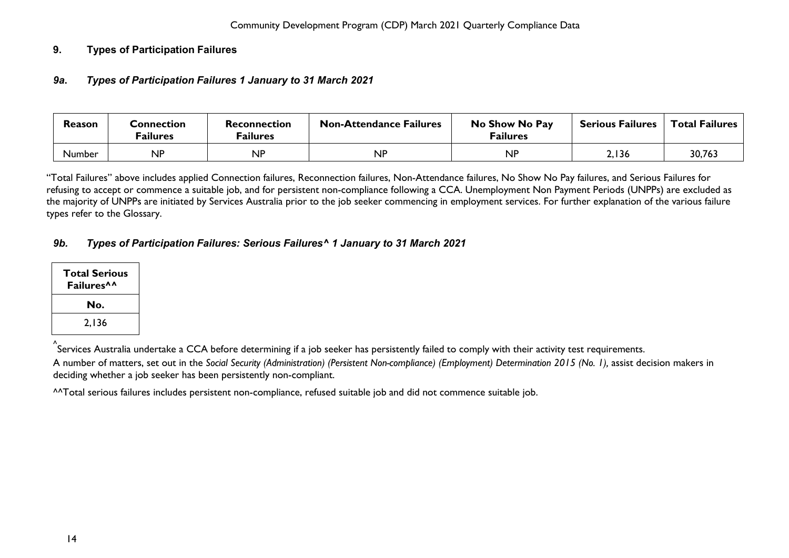## <span id="page-14-1"></span><span id="page-14-0"></span>**9. Types of Participation Failures**

#### *9a***.** *Types of Participation Failures 1 January to 31 March 2021*

| <b>Reason</b> | <b>Connection</b><br><sup>=</sup> ailures | Reconnection<br><sup>=</sup> ailures | <b>Non-Attendance Failures</b> | No Show No Pay<br><b>Failures</b> | <b>Serious Failures</b> | <b>Total Failures</b> |
|---------------|-------------------------------------------|--------------------------------------|--------------------------------|-----------------------------------|-------------------------|-----------------------|
| Number        | <b>NP</b>                                 | <b>NP</b>                            | <b>NP</b>                      | <b>NP</b>                         | 2,136                   | 30,763                |

"Total Failures" above includes applied Connection failures, Reconnection failures, Non-Attendance failures, No Show No Pay failures, and Serious Failures for refusing to accept or commence a suitable job, and for persistent non-compliance following a CCA. Unemployment Non Payment Periods (UNPPs) are excluded as the majority of UNPPs are initiated by Services Australia prior to the job seeker commencing in employment services. For further explanation of the various failure types refer to the Glossary.

## <span id="page-14-2"></span>*9b. Types of Participation Failures: Serious Failures^ 1 January to 31 March 2021*

| Total Serious<br>Failures <sup>^^</sup> |
|-----------------------------------------|
| No.                                     |
| 2,136                                   |

^ Services Australia undertake a CCA before determining if a job seeker has persistently failed to comply with their activity test requirements.

A number of matters, set out in the *Social Security (Administration) (Persistent Non-compliance) (Employment) Determination 2015 (No. 1),* assist decision makers in deciding whether a job seeker has been persistently non-compliant.

^^Total serious failures includes persistent non-compliance, refused suitable job and did not commence suitable job.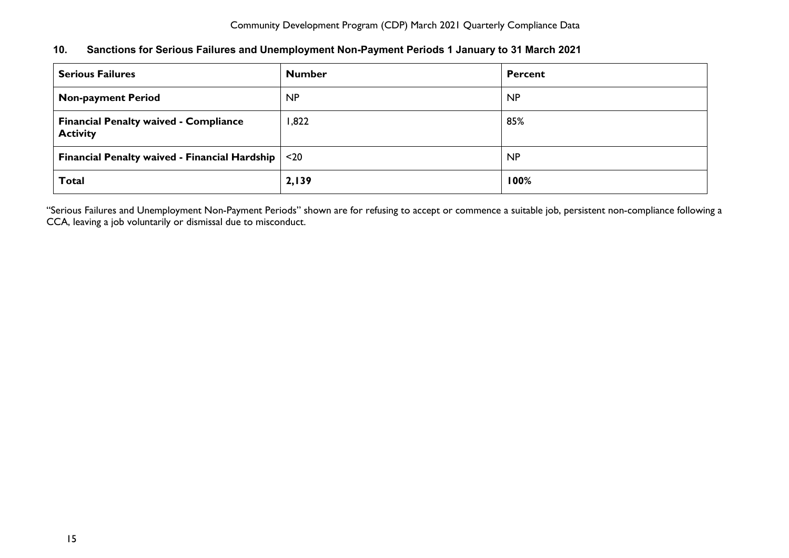<span id="page-15-0"></span>

| 10. | Sanctions for Serious Failures and Unemployment Non-Payment Periods 1 January to 31 March 2021 |  |  |  |  |
|-----|------------------------------------------------------------------------------------------------|--|--|--|--|
|-----|------------------------------------------------------------------------------------------------|--|--|--|--|

| <b>Serious Failures</b>                                         | <b>Number</b> | <b>Percent</b> |
|-----------------------------------------------------------------|---------------|----------------|
| <b>Non-payment Period</b>                                       | <b>NP</b>     | <b>NP</b>      |
| <b>Financial Penalty waived - Compliance</b><br><b>Activity</b> | 1,822         | 85%            |
| <b>Financial Penalty waived - Financial Hardship</b>            | $20$          | <b>NP</b>      |
| <b>Total</b>                                                    | 2,139         | 100%           |

"Serious Failures and Unemployment Non-Payment Periods" shown are for refusing to accept or commence a suitable job, persistent non-compliance following a CCA, leaving a job voluntarily or dismissal due to misconduct.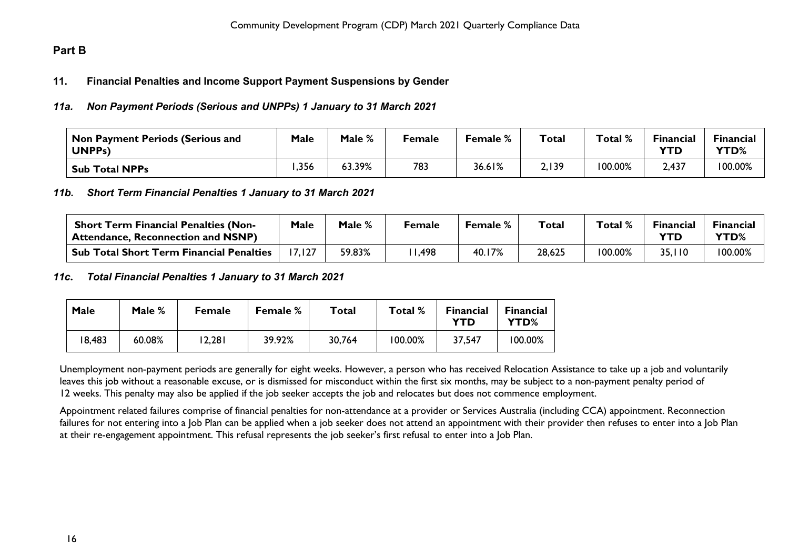# <span id="page-16-1"></span><span id="page-16-0"></span>**Part B**

#### **11. Financial Penalties and Income Support Payment Suspensions by Gender**

#### <span id="page-16-2"></span>*11a. Non Payment Periods (Serious and UNPPs) 1 January to 31 March 2021*

| $^\mathsf{!}$ Non Payment Periods (Serious and<br>UNPP <sub>s</sub> ) | <b>Male</b> | Male % | Female | <b>Female</b> % | Total | Total % | <b>Financial</b><br><b>YTD</b> | <b>Financial</b><br><b>YTD%</b> |
|-----------------------------------------------------------------------|-------------|--------|--------|-----------------|-------|---------|--------------------------------|---------------------------------|
| <b>Sub Total NPPs</b>                                                 | ,356        | 63.39% | 783    | 36.61%          | 2,139 | 100.00% | 2,437                          | 100.00%                         |

#### <span id="page-16-3"></span>*11b. Short Term Financial Penalties 1 January to 31 March 2021*

| <b>Short Term Financial Penalties (Non-</b><br><sup>1</sup> Attendance, Reconnection and NSNP) | Male | Male % | Female | Female % | $\tau$ otal | Total % | Financial | <b>Financial</b><br><b>YTD%</b> |
|------------------------------------------------------------------------------------------------|------|--------|--------|----------|-------------|---------|-----------|---------------------------------|
| Sub Total Short Term Financial Penalties                                                       |      | 59.83% | 1,498  | 40.17%   | 28,625      | 100.00% | 35,110    | 100.00%                         |

#### <span id="page-16-4"></span>*11c***.** *Total Financial Penalties 1 January to 31 March 2021*

| Male   | Male % | <b>Female</b> | <b>Female</b> % | Total  | Total % | <b>Financial</b><br>YTD | <b>Financial</b><br>YTD% |
|--------|--------|---------------|-----------------|--------|---------|-------------------------|--------------------------|
| 18,483 | 60.08% | 2,281         | 39.92%          | 30,764 | 100.00% | 37,547                  | 100.00%                  |

Unemployment non-payment periods are generally for eight weeks. However, a person who has received Relocation Assistance to take up a job and voluntarily leaves this job without a reasonable excuse, or is dismissed for misconduct within the first six months, may be subject to a non-payment penalty period of 12 weeks. This penalty may also be applied if the job seeker accepts the job and relocates but does not commence employment.

Appointment related failures comprise of financial penalties for non-attendance at a provider or Services Australia (including CCA) appointment. Reconnection failures for not entering into a Job Plan can be applied when a job seeker does not attend an appointment with their provider then refuses to enter into a Job Plan at their re-engagement appointment. This refusal represents the job seeker's first refusal to enter into a Job Plan.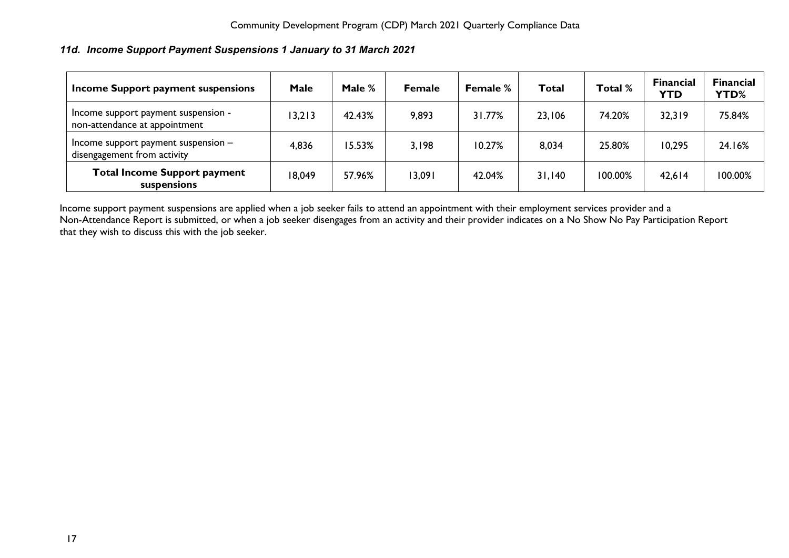# <span id="page-17-0"></span>*11d. Income Support Payment Suspensions 1 January to 31 March 2021*

| Income Support payment suspensions                                   | Male   | Male % | <b>Female</b> | <b>Female %</b> | Total  | Total % | <b>Financial</b><br><b>YTD</b> | <b>Financial</b><br>YTD% |
|----------------------------------------------------------------------|--------|--------|---------------|-----------------|--------|---------|--------------------------------|--------------------------|
| Income support payment suspension -<br>non-attendance at appointment | 13,213 | 42.43% | 9,893         | 31.77%          | 23,106 | 74.20%  | 32,319                         | 75.84%                   |
| Income support payment suspension -<br>disengagement from activity   | 4,836  | 15.53% | 3,198         | 10.27%          | 8,034  | 25.80%  | 10,295                         | 24.16%                   |
| <b>Total Income Support payment</b><br>suspensions                   | 18,049 | 57.96% | 13,091        | 42.04%          | 31,140 | 100.00% | 42,614                         | 100.00%                  |

Income support payment suspensions are applied when a job seeker fails to attend an appointment with their employment services provider and a Non-Attendance Report is submitted, or when a job seeker disengages from an activity and their provider indicates on a No Show No Pay Participation Report that they wish to discuss this with the job seeker.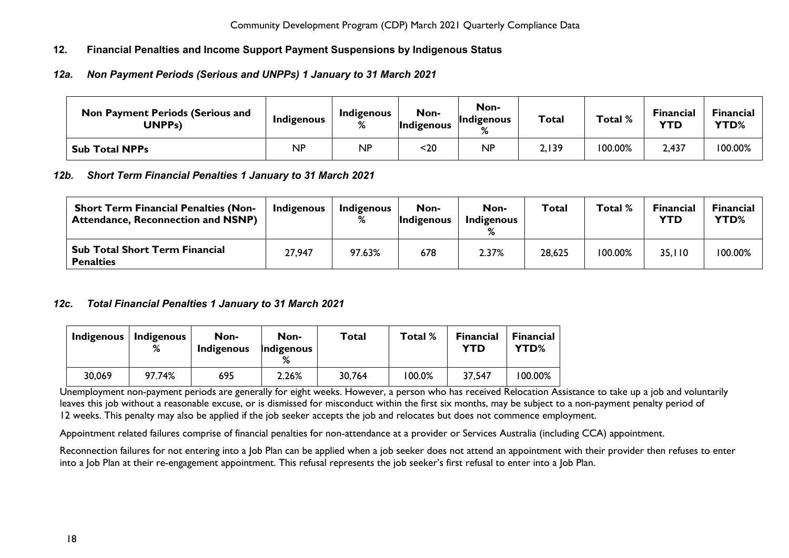# <span id="page-18-0"></span>**12. Financial Penalties and Income Support Payment Suspensions by Indigenous Status**

# <span id="page-18-1"></span>*12a. Non Payment Periods (Serious and UNPPs) 1 January to 31 March 2021*

| <b>Non Payment Periods (Serious and</b><br>UNPPs) | Indigenous | Indigenous<br>% | Non-<br>Indigenous | Non-<br>Indigenous<br>$\mathsf{o}$ | <b>Total</b> | Total % | <b>Financial</b><br>YTD | Financial<br>YTD% |
|---------------------------------------------------|------------|-----------------|--------------------|------------------------------------|--------------|---------|-------------------------|-------------------|
| <b>Sub Total NPPs</b>                             | ΝP         | <b>NP</b>       | <20                | <b>NP</b>                          | 2,139        | 100.00% | 2,437                   | 100.00%           |

## <span id="page-18-2"></span>*12b. Short Term Financial Penalties 1 January to 31 March 2021*

| <b>Short Term Financial Penalties (Non-</b><br><b>Attendance, Reconnection and NSNP)</b> | Indigenous | Indigenous<br>℅ | Non-<br>Indigenous | Non-<br><b>Indigenous</b> | <b>Total</b> | Total % | <b>Financial</b><br><b>YTD</b> | <b>Financial</b><br><b>YTD%</b> |
|------------------------------------------------------------------------------------------|------------|-----------------|--------------------|---------------------------|--------------|---------|--------------------------------|---------------------------------|
| <b>Sub Total Short Term Financial</b><br><b>Penalties</b>                                | 27,947     | 97.63%          | 678                | 2.37%                     | 28,625       | 100.00% | 35,110                         | 100.00%                         |

## <span id="page-18-3"></span>*12c. Total Financial Penalties 1 January to 31 March 2021*

| Indigenous | Indigenous<br>% | Non-<br><b>Indigenous</b> | Non-<br>Indigenous | Total  | Total % | <b>Financial</b><br>YTD | <b>Financial</b><br>YTD% |
|------------|-----------------|---------------------------|--------------------|--------|---------|-------------------------|--------------------------|
| 30,069     | 97.74%          | 695                       | 2.26%              | 30,764 | 100.0%  | 37,547                  | 100.00%                  |

Unemployment non-payment periods are generally for eight weeks. However, a person who has received Relocation Assistance to take up a job and voluntarily leaves this job without a reasonable excuse, or is dismissed for misconduct within the first six months, may be subject to a non-payment penalty period of 12 weeks. This penalty may also be applied if the job seeker accepts the job and relocates but does not commence employment.

Appointment related failures comprise of financial penalties for non-attendance at a provider or Services Australia (including CCA) appointment.

Reconnection failures for not entering into a Job Plan can be applied when a job seeker does not attend an appointment with their provider then refuses to enter into a Job Plan at their re-engagement appointment. This refusal represents the job seeker's first refusal to enter into a Job Plan.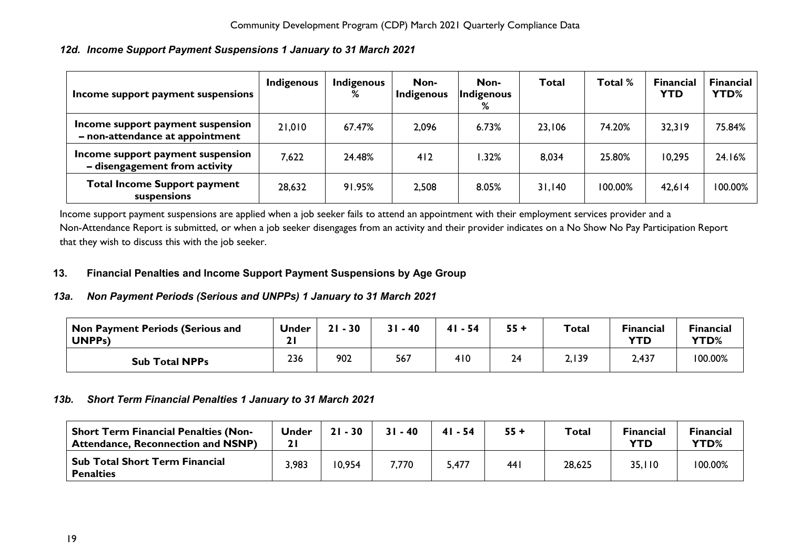## <span id="page-19-0"></span>*12d. Income Support Payment Suspensions 1 January to 31 March 2021*

| Income support payment suspensions                                   | Indigenous | <b>Indigenous</b><br>% | Non-<br>Indigenous | Non-<br>Indigenous<br>% | <b>Total</b> | Total % | <b>Financial</b><br><b>YTD</b> | <b>Financial</b><br>YTD% |
|----------------------------------------------------------------------|------------|------------------------|--------------------|-------------------------|--------------|---------|--------------------------------|--------------------------|
| Income support payment suspension<br>- non-attendance at appointment | 21,010     | 67.47%                 | 2,096              | 6.73%                   | 23,106       | 74.20%  | 32,319                         | 75.84%                   |
| Income support payment suspension<br>- disengagement from activity   | 7,622      | 24.48%                 | 412                | .32%                    | 8,034        | 25.80%  | 10,295                         | 24.16%                   |
| <b>Total Income Support payment</b><br>suspensions                   | 28,632     | 91.95%                 | 2,508              | 8.05%                   | 31,140       | 100.00% | 42,614                         | 100.00%                  |

Income support payment suspensions are applied when a job seeker fails to attend an appointment with their employment services provider and a Non-Attendance Report is submitted, or when a job seeker disengages from an activity and their provider indicates on a No Show No Pay Participation Report that they wish to discuss this with the job seeker.

#### <span id="page-19-1"></span>**13. Financial Penalties and Income Support Payment Suspensions by Age Group**

## <span id="page-19-2"></span>*13a. Non Payment Periods (Serious and UNPPs) 1 January to 31 March 2021*

| Non Payment Periods (Serious and<br>UNPPs) | <b>Under</b> | $-30$<br>21 | $31 - 40$ | $41 - 54$ | $55 +$ | <b>Total</b> | <b>Financial</b><br>YTD | <b>Financial</b><br>YTD% |
|--------------------------------------------|--------------|-------------|-----------|-----------|--------|--------------|-------------------------|--------------------------|
| <b>Sub Total NPPs</b>                      | 236          | 902         | 567       | 410       | 24     | 2,139        | 2,437                   | 100.00%                  |

## <span id="page-19-3"></span>*13b. Short Term Financial Penalties 1 January to 31 March 2021*

<span id="page-19-4"></span>

| <b>Short Term Financial Penalties (Non-</b><br><b>Attendance, Reconnection and NSNP)</b> | <b>Under</b> | $21 - 30$ | $31 - 40$ | $41 - 54$ | $55 +$ | Total  | <b>Financial</b><br><b>YTD</b> | <b>Financial</b><br>YTD% |
|------------------------------------------------------------------------------------------|--------------|-----------|-----------|-----------|--------|--------|--------------------------------|--------------------------|
| <b>Sub Total Short Term Financial</b><br><b>Penalties</b>                                | 3,983        | 10,954    | 7,770     | 5,477     | 44 I   | 28,625 | 35,110                         | 100.00%                  |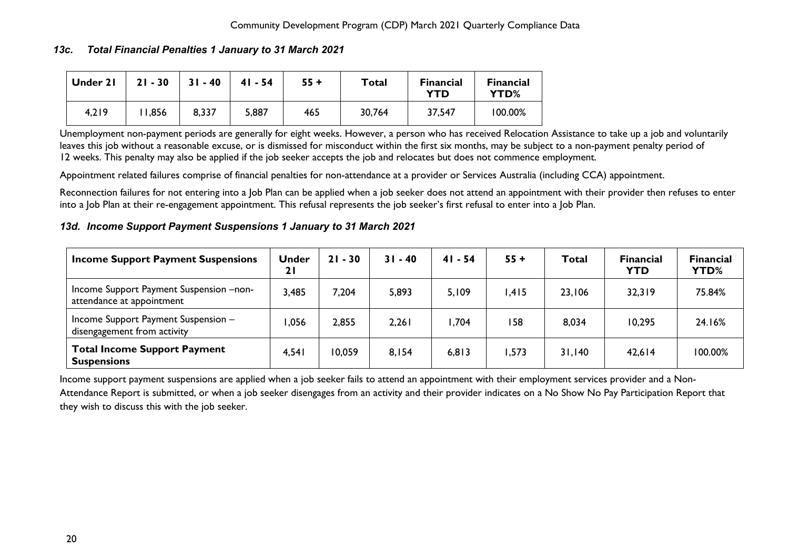## *13c. Total Financial Penalties 1 January to 31 March 2021*

| Under 21 | $21 - 30$ | $31 - 40$ | $41 - 54$ | $55 +$ | Total  | <b>Financial</b><br>YTD | <b>Financial</b><br>YTD% |
|----------|-----------|-----------|-----------|--------|--------|-------------------------|--------------------------|
| 4,219    | 1,856     | 8,337     | 5,887     | 465    | 30,764 | 37,547                  | 100.00%                  |

Unemployment non-payment periods are generally for eight weeks. However, a person who has received Relocation Assistance to take up a job and voluntarily leaves this job without a reasonable excuse, or is dismissed for misconduct within the first six months, may be subject to a non-payment penalty period of 12 weeks. This penalty may also be applied if the job seeker accepts the job and relocates but does not commence employment.

Appointment related failures comprise of financial penalties for non-attendance at a provider or Services Australia (including CCA) appointment.

Reconnection failures for not entering into a Job Plan can be applied when a job seeker does not attend an appointment with their provider then refuses to enter into a Job Plan at their re-engagement appointment. This refusal represents the job seeker's first refusal to enter into a Job Plan.

## <span id="page-20-0"></span>*13d. Income Support Payment Suspensions 1 January to 31 March 2021*

| <b>Income Support Payment Suspensions</b>                            | <b>Under</b><br>21 | $21 - 30$ | $31 - 40$ | $41 - 54$ | $55 +$ | Total  | <b>Financial</b><br><b>YTD</b> | <b>Financial</b><br><b>YTD%</b> |
|----------------------------------------------------------------------|--------------------|-----------|-----------|-----------|--------|--------|--------------------------------|---------------------------------|
| Income Support Payment Suspension -non-<br>attendance at appointment | 3,485              | 7,204     | 5,893     | 5,109     | .415   | 23,106 | 32,319                         | 75.84%                          |
| Income Support Payment Suspension -<br>disengagement from activity   | .056               | 2,855     | 2,261     | ,704      | 158    | 8,034  | 10,295                         | 24.16%                          |
| <b>Total Income Support Payment</b><br><b>Suspensions</b>            | 4,541              | 10,059    | 8,154     | 6,813     | ,573   | 31,140 | 42,614                         | 100.00%                         |

Income support payment suspensions are applied when a job seeker fails to attend an appointment with their employment services provider and a Non-Attendance Report is submitted, or when a job seeker disengages from an activity and their provider indicates on a No Show No Pay Participation Report that they wish to discuss this with the job seeker.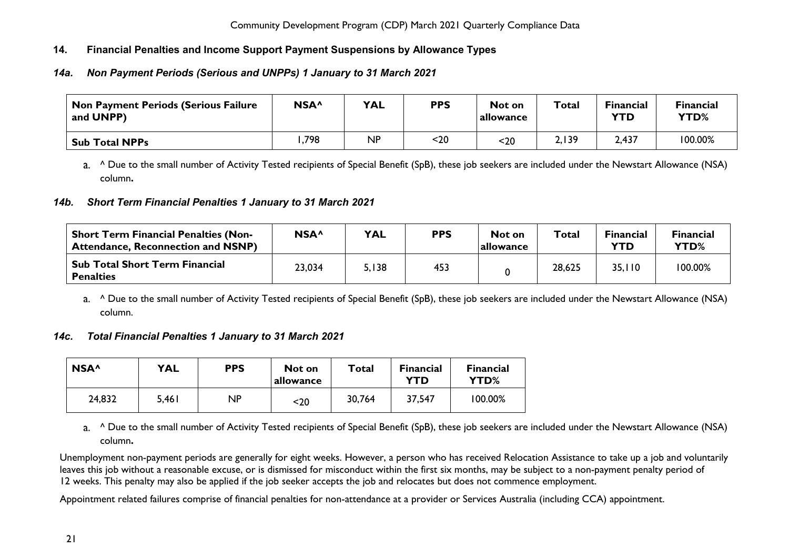# <span id="page-21-0"></span>**14. Financial Penalties and Income Support Payment Suspensions by Allowance Types**

# <span id="page-21-1"></span>*14a. Non Payment Periods (Serious and UNPPs) 1 January to 31 March 2021*

| <b>Non Payment Periods (Serious Failure</b><br>and UNPP) | NSA <sup>^</sup> | <b>YAL</b> | <b>PPS</b> | Not on<br>allowance | Total | <b>Financial</b><br>YTD | <b>Financial</b><br>YTD% |
|----------------------------------------------------------|------------------|------------|------------|---------------------|-------|-------------------------|--------------------------|
| <b>Sub Total NPPs</b>                                    | ,798             | <b>NP</b>  | <20        | <20                 | 2,139 | 2,437                   | 100.00%                  |

a. ^ Due to the small number of Activity Tested recipients of Special Benefit (SpB), these job seekers are included under the Newstart Allowance (NSA) column**.**

# <span id="page-21-2"></span>*14b. Short Term Financial Penalties 1 January to 31 March 2021*

| <b>Short Term Financial Penalties (Non-</b><br><b>Attendance, Reconnection and NSNP)</b> | NSA^   | <b>YAL</b> | <b>PPS</b> | Not on<br>allowance | Total  | <b>Financial</b><br>YTD | <b>Financial</b><br>YTD% |
|------------------------------------------------------------------------------------------|--------|------------|------------|---------------------|--------|-------------------------|--------------------------|
| <b>Sub Total Short Term Financial</b><br><b>Penalties</b>                                | 23,034 | 5,138      | 453        |                     | 28,625 | 35,110                  | 100.00%                  |

a. <sup>^</sup> Due to the small number of Activity Tested recipients of Special Benefit (SpB), these job seekers are included under the Newstart Allowance (NSA) column.

# <span id="page-21-3"></span>*14c. Total Financial Penalties 1 January to 31 March 2021*

| NSA <sup>^</sup> | <b>YAL</b> | <b>PPS</b> | Not on<br>allowance | Total  | <b>Financial</b><br>YTD | <b>Financial</b><br>YTD% |
|------------------|------------|------------|---------------------|--------|-------------------------|--------------------------|
| 24,832           | 5,461      | <b>NP</b>  | $20$                | 30,764 | 37,547                  | 100.00%                  |

a. <sup>^</sup> Due to the small number of Activity Tested recipients of Special Benefit (SpB), these job seekers are included under the Newstart Allowance (NSA) column**.**

Unemployment non-payment periods are generally for eight weeks. However, a person who has received Relocation Assistance to take up a job and voluntarily leaves this job without a reasonable excuse, or is dismissed for misconduct within the first six months, may be subject to a non-payment penalty period of 12 weeks. This penalty may also be applied if the job seeker accepts the job and relocates but does not commence employment.

Appointment related failures comprise of financial penalties for non-attendance at a provider or Services Australia (including CCA) appointment.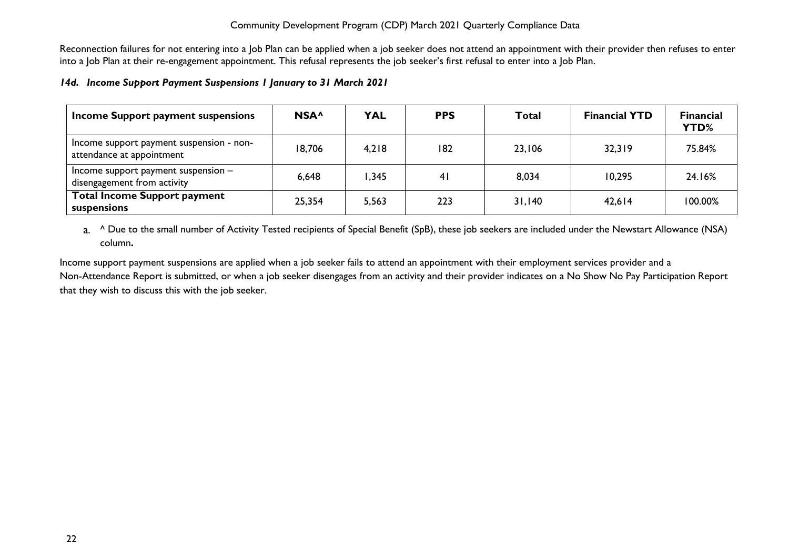Reconnection failures for not entering into a Job Plan can be applied when a job seeker does not attend an appointment with their provider then refuses to enter into a Job Plan at their re-engagement appointment. This refusal represents the job seeker's first refusal to enter into a Job Plan.

#### <span id="page-22-0"></span>*14d. Income Support Payment Suspensions 1 January to 31 March 2021*

| Income Support payment suspensions                                    | NSA <sup>^</sup> | <b>YAL</b> | <b>PPS</b>     | Total  | <b>Financial YTD</b> | <b>Financial</b><br>YTD% |
|-----------------------------------------------------------------------|------------------|------------|----------------|--------|----------------------|--------------------------|
| Income support payment suspension - non-<br>attendance at appointment | 18,706           | 4,218      | 182            | 23,106 | 32,319               | 75.84%                   |
| Income support payment suspension $-$<br>disengagement from activity  | 6,648            | ,345       | 4 <sub>l</sub> | 8,034  | 10.295               | 24.16%                   |
| <b>Total Income Support payment</b><br>suspensions                    | 25,354           | 5,563      | 223            | 31,140 | 42,614               | 100.00%                  |

a. <sup>^</sup> Due to the small number of Activity Tested recipients of Special Benefit (SpB), these job seekers are included under the Newstart Allowance (NSA) column**.**

Income support payment suspensions are applied when a job seeker fails to attend an appointment with their employment services provider and a Non-Attendance Report is submitted, or when a job seeker disengages from an activity and their provider indicates on a No Show No Pay Participation Report that they wish to discuss this with the job seeker.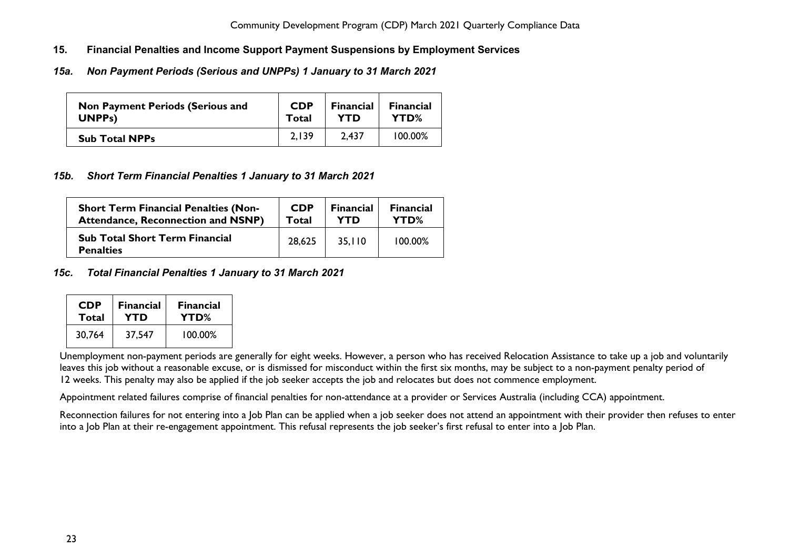- <span id="page-23-0"></span>**15. Financial Penalties and Income Support Payment Suspensions by Employment Services**
- <span id="page-23-1"></span>*15a. Non Payment Periods (Serious and UNPPs) 1 January to 31 March 2021*

| <b>Non Payment Periods (Serious and</b> | <b>CDP</b> | <b>Financial</b> | <b>Financial</b> |
|-----------------------------------------|------------|------------------|------------------|
| UNPP <sub>s</sub> )                     | Total      | YTD              | YTD%             |
| <b>Sub Total NPPs</b>                   | 2.139      | 2.437            | 100.00%          |

## <span id="page-23-2"></span>*15b. Short Term Financial Penalties 1 January to 31 March 2021*

| <b>Short Term Financial Penalties (Non-</b>               | <b>CDP</b> | <b>Financial</b> | <b>Financial</b> |
|-----------------------------------------------------------|------------|------------------|------------------|
| <b>Attendance, Reconnection and NSNP)</b>                 | Total      | <b>YTD</b>       | YTD%             |
| <b>Sub Total Short Term Financial</b><br><b>Penalties</b> | 28.625     | 35,110           | 100.00%          |

#### <span id="page-23-3"></span>*15c. Total Financial Penalties 1 January to 31 March 2021*

| <b>CDP</b> | <b>Financial</b> | <b>Financial</b> |  |
|------------|------------------|------------------|--|
| Total      | YTD              | YTD%             |  |
| 30,764     | 37.547           | 100.00%          |  |

Unemployment non-payment periods are generally for eight weeks. However, a person who has received Relocation Assistance to take up a job and voluntarily leaves this job without a reasonable excuse, or is dismissed for misconduct within the first six months, may be subject to a non-payment penalty period of 12 weeks. This penalty may also be applied if the job seeker accepts the job and relocates but does not commence employment.

Appointment related failures comprise of financial penalties for non-attendance at a provider or Services Australia (including CCA) appointment.

Reconnection failures for not entering into a Job Plan can be applied when a job seeker does not attend an appointment with their provider then refuses to enter into a Job Plan at their re-engagement appointment. This refusal represents the job seeker's first refusal to enter into a Job Plan.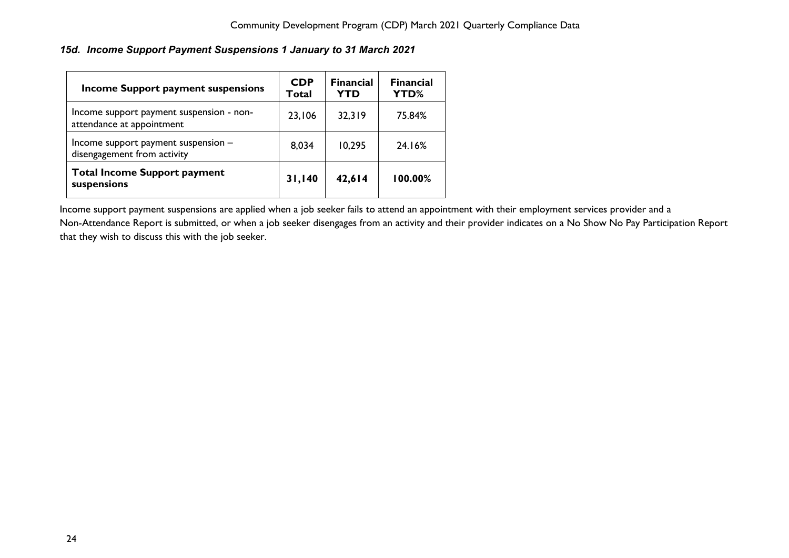# <span id="page-24-0"></span>*15d. Income Support Payment Suspensions 1 January to 31 March 2021*

| <b>Income Support payment suspensions</b>                             | <b>CDP</b><br>Total | <b>Financial</b><br><b>YTD</b> | <b>Financial</b><br>YTD% |
|-----------------------------------------------------------------------|---------------------|--------------------------------|--------------------------|
| Income support payment suspension - non-<br>attendance at appointment | 23,106              | 32,319                         | 75.84%                   |
| Income support payment suspension -<br>disengagement from activity    | 8,034               | 10,295                         | 24.16%                   |
| <b>Total Income Support payment</b><br>suspensions                    | 31,140              | 42,614                         | 100.00%                  |

Income support payment suspensions are applied when a job seeker fails to attend an appointment with their employment services provider and a Non-Attendance Report is submitted, or when a job seeker disengages from an activity and their provider indicates on a No Show No Pay Participation Report that they wish to discuss this with the job seeker.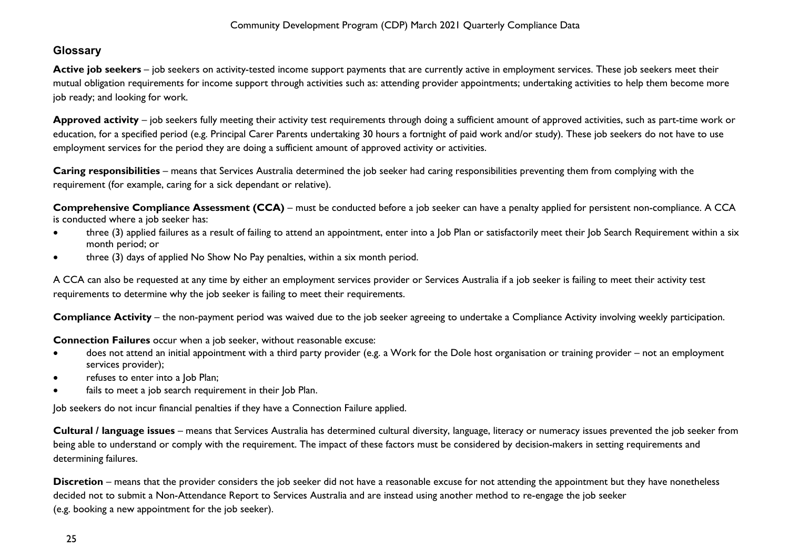# <span id="page-25-0"></span>**Glossary**

Active job seekers – job seekers on activity-tested income support payments that are currently active in employment services. These job seekers meet their mutual obligation requirements for income support through activities such as: attending provider appointments; undertaking activities to help them become more job ready; and looking for work.

**Approved activity** – job seekers fully meeting their activity test requirements through doing a sufficient amount of approved activities, such as part-time work or education, for a specified period (e.g. Principal Carer Parents undertaking 30 hours a fortnight of paid work and/or study). These job seekers do not have to use employment services for the period they are doing a sufficient amount of approved activity or activities.

**Caring responsibilities** – means that Services Australia determined the job seeker had caring responsibilities preventing them from complying with the requirement (for example, caring for a sick dependant or relative).

**Comprehensive Compliance Assessment (CCA)** – must be conducted before a job seeker can have a penalty applied for persistent non-compliance. A CCA is conducted where a job seeker has:

- three (3) applied failures as a result of failing to attend an appointment, enter into a Job Plan or satisfactorily meet their Job Search Requirement within a six month period; or
- three (3) days of applied No Show No Pay penalties, within a six month period.

A CCA can also be requested at any time by either an employment services provider or Services Australia if a job seeker is failing to meet their activity test requirements to determine why the job seeker is failing to meet their requirements.

**Compliance Activity** – the non-payment period was waived due to the job seeker agreeing to undertake a Compliance Activity involving weekly participation.

**Connection Failures** occur when a job seeker, without reasonable excuse:

- does not attend an initial appointment with a third party provider (e.g. a Work for the Dole host organisation or training provider not an employment services provider);
- refuses to enter into a lob Plan;
- fails to meet a job search requirement in their Job Plan.

Job seekers do not incur financial penalties if they have a Connection Failure applied.

**Cultural / language issues** – means that Services Australia has determined cultural diversity, language, literacy or numeracy issues prevented the job seeker from being able to understand or comply with the requirement. The impact of these factors must be considered by decision-makers in setting requirements and determining failures.

**Discretion** – means that the provider considers the job seeker did not have a reasonable excuse for not attending the appointment but they have nonetheless decided not to submit a Non-Attendance Report to Services Australia and are instead using another method to re-engage the job seeker (e.g. booking a new appointment for the job seeker).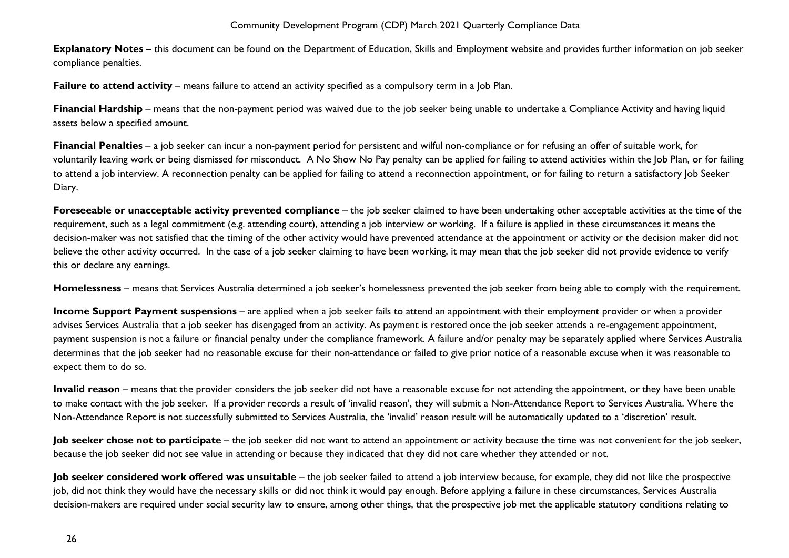**Explanatory Notes –** this document can be found on the Department of Education, Skills and Employment website and provides further information on job seeker compliance penalties.

**Failure to attend activity** – means failure to attend an activity specified as a compulsory term in a Job Plan.

**Financial Hardship** – means that the non-payment period was waived due to the job seeker being unable to undertake a Compliance Activity and having liquid assets below a specified amount.

**Financial Penalties** – a job seeker can incur a non-payment period for persistent and wilful non-compliance or for refusing an offer of suitable work, for voluntarily leaving work or being dismissed for misconduct. A No Show No Pay penalty can be applied for failing to attend activities within the Job Plan, or for failing to attend a job interview. A reconnection penalty can be applied for failing to attend a reconnection appointment, or for failing to return a satisfactory Job Seeker Diary.

**Foreseeable or unacceptable activity prevented compliance** – the job seeker claimed to have been undertaking other acceptable activities at the time of the requirement, such as a legal commitment (e.g. attending court), attending a job interview or working. If a failure is applied in these circumstances it means the decision-maker was not satisfied that the timing of the other activity would have prevented attendance at the appointment or activity or the decision maker did not believe the other activity occurred. In the case of a job seeker claiming to have been working, it may mean that the job seeker did not provide evidence to verify this or declare any earnings.

**Homelessness** – means that Services Australia determined a job seeker's homelessness prevented the job seeker from being able to comply with the requirement.

**Income Support Payment suspensions** – are applied when a job seeker fails to attend an appointment with their employment provider or when a provider advises Services Australia that a job seeker has disengaged from an activity. As payment is restored once the job seeker attends a re-engagement appointment, payment suspension is not a failure or financial penalty under the compliance framework. A failure and/or penalty may be separately applied where Services Australia determines that the job seeker had no reasonable excuse for their non-attendance or failed to give prior notice of a reasonable excuse when it was reasonable to expect them to do so.

**Invalid reason** – means that the provider considers the job seeker did not have a reasonable excuse for not attending the appointment, or they have been unable to make contact with the job seeker. If a provider records a result of 'invalid reason', they will submit a Non-Attendance Report to Services Australia. Where the Non-Attendance Report is not successfully submitted to Services Australia, the 'invalid' reason result will be automatically updated to a 'discretion' result.

**Job seeker chose not to participate** – the job seeker did not want to attend an appointment or activity because the time was not convenient for the job seeker, because the job seeker did not see value in attending or because they indicated that they did not care whether they attended or not.

**Job seeker considered work offered was unsuitable** – the job seeker failed to attend a job interview because, for example, they did not like the prospective job, did not think they would have the necessary skills or did not think it would pay enough. Before applying a failure in these circumstances, Services Australia decision-makers are required under social security law to ensure, among other things, that the prospective job met the applicable statutory conditions relating to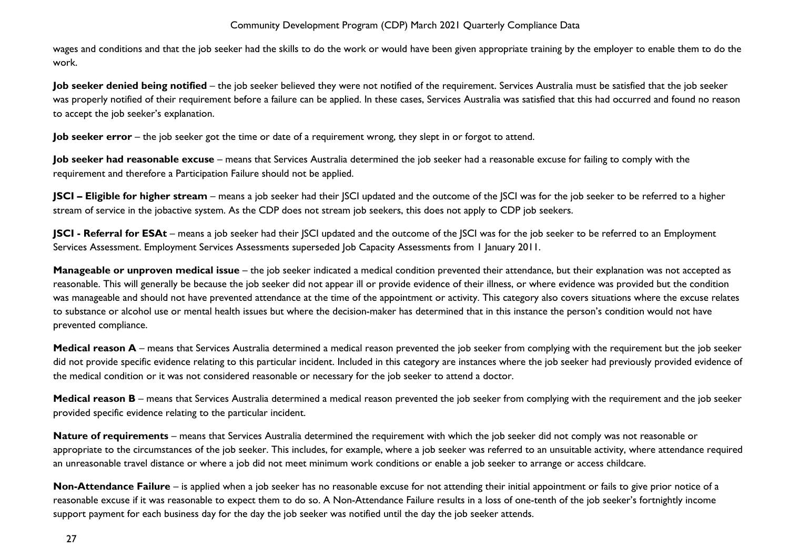wages and conditions and that the job seeker had the skills to do the work or would have been given appropriate training by the employer to enable them to do the work.

**Job seeker denied being notified** – the job seeker believed they were not notified of the requirement. Services Australia must be satisfied that the job seeker was properly notified of their requirement before a failure can be applied. In these cases, Services Australia was satisfied that this had occurred and found no reason to accept the job seeker's explanation.

**Job seeker error** – the job seeker got the time or date of a requirement wrong, they slept in or forgot to attend.

**Job seeker had reasonable excuse** – means that Services Australia determined the job seeker had a reasonable excuse for failing to comply with the requirement and therefore a Participation Failure should not be applied.

**JSCI – Eligible for higher stream** – means a job seeker had their JSCI updated and the outcome of the JSCI was for the job seeker to be referred to a higher stream of service in the jobactive system. As the CDP does not stream job seekers, this does not apply to CDP job seekers.

**JSCI - Referral for ESAt** – means a job seeker had their SCI updated and the outcome of the SCI was for the job seeker to be referred to an Employment Services Assessment. Employment Services Assessments superseded Job Capacity Assessments from 1 January 2011.

**Manageable or unproven medical issue** – the job seeker indicated a medical condition prevented their attendance, but their explanation was not accepted as reasonable. This will generally be because the job seeker did not appear ill or provide evidence of their illness, or where evidence was provided but the condition was manageable and should not have prevented attendance at the time of the appointment or activity. This category also covers situations where the excuse relates to substance or alcohol use or mental health issues but where the decision-maker has determined that in this instance the person's condition would not have prevented compliance.

**Medical reason A** – means that Services Australia determined a medical reason prevented the job seeker from complying with the requirement but the job seeker did not provide specific evidence relating to this particular incident. Included in this category are instances where the job seeker had previously provided evidence of the medical condition or it was not considered reasonable or necessary for the job seeker to attend a doctor.

**Medical reason B** – means that Services Australia determined a medical reason prevented the job seeker from complying with the requirement and the job seeker provided specific evidence relating to the particular incident.

**Nature of requirements** – means that Services Australia determined the requirement with which the job seeker did not comply was not reasonable or appropriate to the circumstances of the job seeker. This includes, for example, where a job seeker was referred to an unsuitable activity, where attendance required an unreasonable travel distance or where a job did not meet minimum work conditions or enable a job seeker to arrange or access childcare.

**Non-Attendance Failure** – is applied when a job seeker has no reasonable excuse for not attending their initial appointment or fails to give prior notice of a reasonable excuse if it was reasonable to expect them to do so. A Non-Attendance Failure results in a loss of one-tenth of the job seeker's fortnightly income support payment for each business day for the day the job seeker was notified until the day the job seeker attends.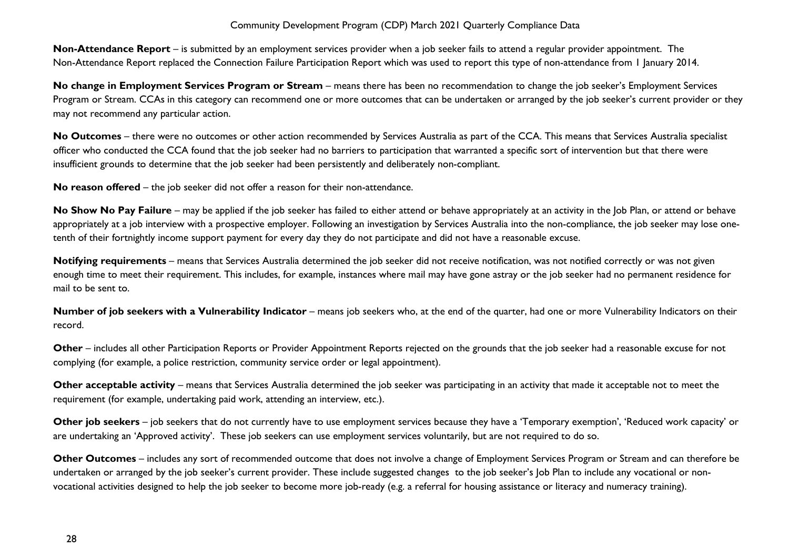**Non-Attendance Report** – is submitted by an employment services provider when a job seeker fails to attend a regular provider appointment. The Non-Attendance Report replaced the Connection Failure Participation Report which was used to report this type of non-attendance from 1 January 2014.

**No change in Employment Services Program or Stream** – means there has been no recommendation to change the job seeker's Employment Services Program or Stream. CCAs in this category can recommend one or more outcomes that can be undertaken or arranged by the job seeker's current provider or they may not recommend any particular action.

No Outcomes – there were no outcomes or other action recommended by Services Australia as part of the CCA. This means that Services Australia specialist officer who conducted the CCA found that the job seeker had no barriers to participation that warranted a specific sort of intervention but that there were insufficient grounds to determine that the job seeker had been persistently and deliberately non-compliant.

**No reason offered** – the job seeker did not offer a reason for their non-attendance.

No Show No Pay Failure – may be applied if the job seeker has failed to either attend or behave appropriately at an activity in the Job Plan, or attend or behave appropriately at a job interview with a prospective employer. Following an investigation by Services Australia into the non-compliance, the job seeker may lose onetenth of their fortnightly income support payment for every day they do not participate and did not have a reasonable excuse.

**Notifying requirements** – means that Services Australia determined the job seeker did not receive notification, was not notified correctly or was not given enough time to meet their requirement. This includes, for example, instances where mail may have gone astray or the job seeker had no permanent residence for mail to be sent to.

**Number of job seekers with a Vulnerability Indicator** – means job seekers who, at the end of the quarter, had one or more Vulnerability Indicators on their record.

**Other** – includes all other Participation Reports or Provider Appointment Reports rejected on the grounds that the job seeker had a reasonable excuse for not complying (for example, a police restriction, community service order or legal appointment).

**Other acceptable activity** – means that Services Australia determined the job seeker was participating in an activity that made it acceptable not to meet the requirement (for example, undertaking paid work, attending an interview, etc.).

**Other job seekers** – job seekers that do not currently have to use employment services because they have a 'Temporary exemption', 'Reduced work capacity' or are undertaking an 'Approved activity'. These job seekers can use employment services voluntarily, but are not required to do so.

**Other Outcomes** – includes any sort of recommended outcome that does not involve a change of Employment Services Program or Stream and can therefore be undertaken or arranged by the job seeker's current provider. These include suggested changes to the job seeker's Job Plan to include any vocational or nonvocational activities designed to help the job seeker to become more job-ready (e.g. a referral for housing assistance or literacy and numeracy training).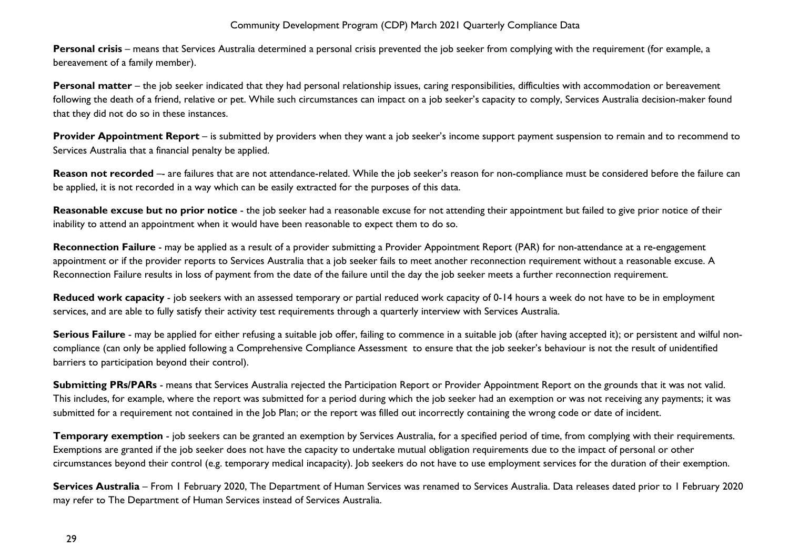**Personal crisis** – means that Services Australia determined a personal crisis prevented the job seeker from complying with the requirement (for example, a bereavement of a family member).

**Personal matter** – the job seeker indicated that they had personal relationship issues, caring responsibilities, difficulties with accommodation or bereavement following the death of a friend, relative or pet. While such circumstances can impact on a job seeker's capacity to comply, Services Australia decision-maker found that they did not do so in these instances.

**Provider Appointment Report** – is submitted by providers when they want a job seeker's income support payment suspension to remain and to recommend to Services Australia that a financial penalty be applied.

Reason not recorded -- are failures that are not attendance-related. While the job seeker's reason for non-compliance must be considered before the failure can be applied, it is not recorded in a way which can be easily extracted for the purposes of this data.

**Reasonable excuse but no prior notice** - the job seeker had a reasonable excuse for not attending their appointment but failed to give prior notice of their inability to attend an appointment when it would have been reasonable to expect them to do so.

**Reconnection Failure** - may be applied as a result of a provider submitting a Provider Appointment Report (PAR) for non-attendance at a re-engagement appointment or if the provider reports to Services Australia that a job seeker fails to meet another reconnection requirement without a reasonable excuse. A Reconnection Failure results in loss of payment from the date of the failure until the day the job seeker meets a further reconnection requirement.

**Reduced work capacity** - job seekers with an assessed temporary or partial reduced work capacity of 0-14 hours a week do not have to be in employment services, and are able to fully satisfy their activity test requirements through a quarterly interview with Services Australia.

**Serious Failure** - may be applied for either refusing a suitable job offer, failing to commence in a suitable job (after having accepted it); or persistent and wilful noncompliance (can only be applied following a Comprehensive Compliance Assessment to ensure that the job seeker's behaviour is not the result of unidentified barriers to participation beyond their control).

**Submitting PRs/PARs** - means that Services Australia rejected the Participation Report or Provider Appointment Report on the grounds that it was not valid. This includes, for example, where the report was submitted for a period during which the job seeker had an exemption or was not receiving any payments; it was submitted for a requirement not contained in the Job Plan; or the report was filled out incorrectly containing the wrong code or date of incident.

**Temporary exemption** - job seekers can be granted an exemption by Services Australia, for a specified period of time, from complying with their requirements. Exemptions are granted if the job seeker does not have the capacity to undertake mutual obligation requirements due to the impact of personal or other circumstances beyond their control (e.g. temporary medical incapacity). Job seekers do not have to use employment services for the duration of their exemption.

**Services Australia** – From 1 February 2020, The Department of Human Services was renamed to Services Australia. Data releases dated prior to 1 February 2020 may refer to The Department of Human Services instead of Services Australia.